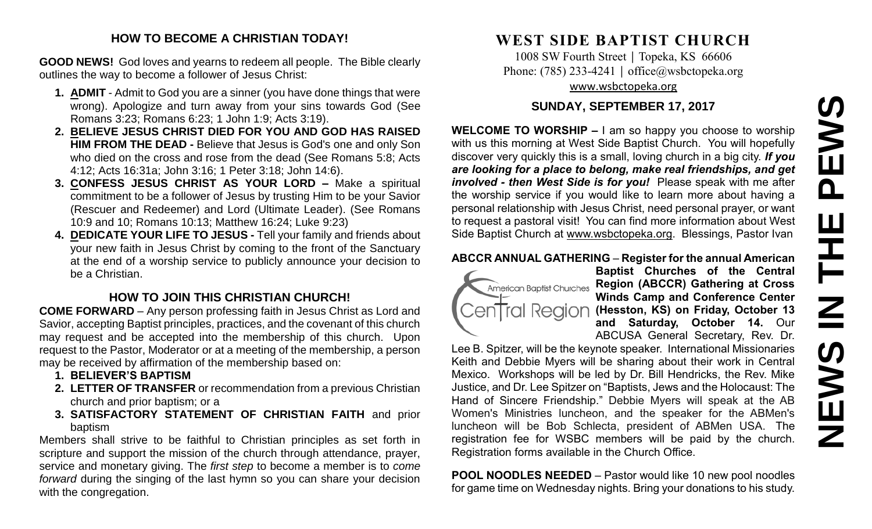# PEWS **NEWS IN THE PEWS**HH<br>N<br>N<br>N **SVEMS**

### **HOW TO BECOME A CHRISTIAN TODAY!**

**GOOD NEWS!** God loves and yearns to redeem all people. The Bible clearly outlines the way to become a follower of Jesus Christ:

- **1. ADMIT** Admit to God you are a sinner (you have done things that were wrong). Apologize and turn away from your sins towards God (See Romans 3:23; Romans 6:23; 1 John 1:9; Acts 3:19).
- **2. BELIEVE JESUS CHRIST DIED FOR YOU AND GOD HAS RAISED HIM FROM THE DEAD -** Believe that Jesus is God's one and only Son who died on the cross and rose from the dead (See Romans 5:8; Acts 4:12; Acts 16:31a; John 3:16; 1 Peter 3:18; John 14:6).
- **3. CONFESS JESUS CHRIST AS YOUR LORD –** Make a spiritual commitment to be a follower of Jesus by trusting Him to be your Savior (Rescuer and Redeemer) and Lord (Ultimate Leader). (See Romans 10:9 and 10; Romans 10:13; Matthew 16:24; Luke 9:23)
- **4. DEDICATE YOUR LIFE TO JESUS -** Tell your family and friends about your new faith in Jesus Christ by coming to the front of the Sanctuary at the end of a worship service to publicly announce your decision to be a Christian.

## **HOW TO JOIN THIS CHRISTIAN CHURCH!**

**COME FORWARD** – Any person professing faith in Jesus Christ as Lord and Savior, accepting Baptist principles, practices, and the covenant of this church may request and be accepted into the membership of this church. Upon request to the Pastor, Moderator or at a meeting of the membership, a person may be received by affirmation of the membership based on:

- **1. BELIEVER'S BAPTISM**
- **2. LETTER OF TRANSFER** or recommendation from a previous Christian church and prior baptism; or a
- **3. SATISFACTORY STATEMENT OF CHRISTIAN FAITH** and prior baptism

Members shall strive to be faithful to Christian principles as set forth in scripture and support the mission of the church through attendance, prayer, service and monetary giving. The *first step* to become a member is to *come forward* during the singing of the last hymn so you can share your decision with the congregation.

# **WEST SIDE BAPTIST CHURCH**

1008 SW Fourth Street | Topeka, KS 66606 Phone: (785) 233-4241 │ [office@wsbctopeka.org](mailto:office@wsbctopeka.org) [www.wsbctopeka.org](http://www.wsbctopeka.org/)

### **SUNDAY, SEPTEMBER 17, 2017**

**WELCOME TO WORSHIP –** I am so happy you choose to worship with us this morning at West Side Baptist Church. You will hopefully discover very quickly this is a small, loving church in a big city. *If you are looking for a place to belong, make real friendships, and get involved - then West Side is for you!* Please speak with me after the worship service if you would like to learn more about having a personal relationship with Jesus Christ, need personal prayer, or want to request a pastoral visit! You can find more information about West Side Baptist Church at [www.wsbctopeka.org.](http://www.wsbctopeka.org/) Blessings, Pastor Ivan

### **ABCCR ANNUAL GATHERING** – **Register for the annual American**



**Baptist Churches of the Central**  American Baptist Churches **Region (ABCCR) Gathering at Cross Winds Camp and Conference Center**  CenTral Region (Hesston, KS) on Friday, October 13 **and Saturday, October 14.** Our ABCUSA General Secretary, Rev. Dr.

Lee B. Spitzer, will be the keynote speaker. International Missionaries Keith and Debbie Myers will be sharing about their work in Central Mexico. Workshops will be led by Dr. Bill Hendricks, the Rev. Mike Justice, and Dr. Lee Spitzer on "Baptists, Jews and the Holocaust: The Hand of Sincere Friendship." Debbie Myers will speak at the AB Women's Ministries luncheon, and the speaker for the ABMen's luncheon will be Bob Schlecta, president of ABMen USA. The registration fee for WSBC members will be paid by the church. Registration forms available in the Church Office.

**POOL NOODLES NEEDED** – Pastor would like 10 new pool noodles for game time on Wednesday nights. Bring your donations to his study.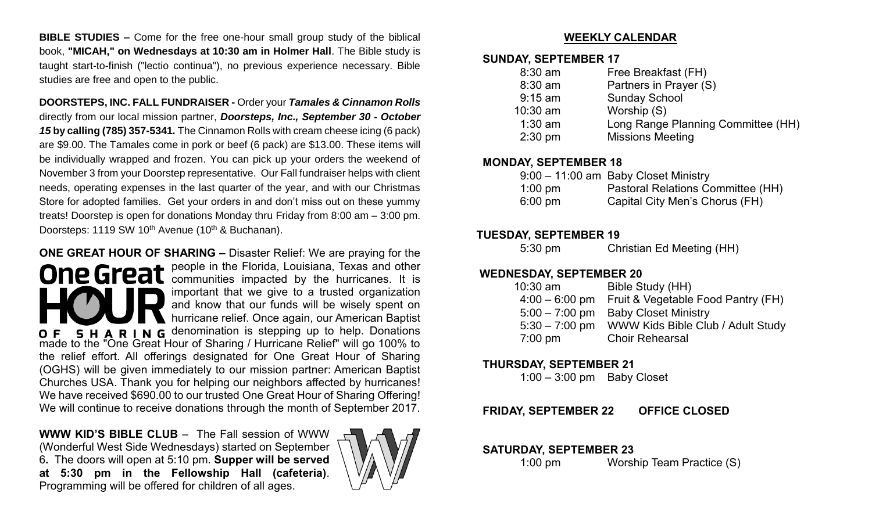**BIBLE STUDIES –** Come for the free one-hour small group study of the biblical book, **"MICAH," on Wednesdays at 10:30 am in Holmer Hall**. The Bible study is taught start-to-finish ("lectio continua"), no previous experience necessary. Bible studies are free and open to the public.

**DOORSTEPS, INC. FALL FUNDRAISER -** Order your *Tamales & Cinnamon Rolls* directly from our local mission partner, *Doorsteps, Inc., September 30 - October 15* **by calling (785) 357-5341***.* The Cinnamon Rolls with cream cheese icing (6 pack) are \$9.00. The Tamales come in pork or beef (6 pack) are \$13.00. These items will be individually wrapped and frozen. You can pick up your orders the weekend of November 3 from your Doorstep representative. Our Fall fundraiser helps with client needs, operating expenses in the last quarter of the year, and with our Christmas Store for adopted families. Get your orders in and don't miss out on these yummy treats! Doorstep is open for donations Monday thru Friday from 8:00 am – 3:00 pm. Doorsteps: 1119 SW 10<sup>th</sup> Avenue (10<sup>th</sup> & Buchanan).

**ONE GREAT HOUR OF SHARING –** Disaster Relief: We are praying for the people in the Florida, Louisiana, Texas and other communities impacted by the hurricanes. It is important that we give to a trusted organization and know that our funds will be wisely spent on hurricane relief. Once again, our American Baptist **5 H A R I N G** denomination is stepping up to help. Donations made to the "One Great Hour of Sharing / Hurricane Relief" will go 100% to the relief effort. All offerings designated for One Great Hour of Sharing (OGHS) will be given immediately to our mission partner: American Baptist Churches USA. Thank you for helping our neighbors affected by hurricanes! We have received \$690.00 to our trusted One Great Hour of Sharing Offering! We will continue to receive donations through the month of September 2017.

**WWW KID'S BIBLE CLUB** – The Fall session of WWW (Wonderful West Side Wednesdays) started on September 6**.** The doors will open at 5:10 pm. **Supper will be served at 5:30 pm in the Fellowship Hall (cafeteria)**. Programming will be offered for children of all ages.



### **WEEKLY CALENDAR**

### **SUNDAY, SEPTEMBER 17**

| $8:30$ am | Free Breakfast (FH)                |
|-----------|------------------------------------|
| $8:30$ am | Partners in Prayer (S)             |
| $9:15$ am | <b>Sunday School</b>               |
| 10:30 am  | Worship (S)                        |
| $1:30$ am | Long Range Planning Committee (HH) |
| $2:30$ pm | <b>Missions Meeting</b>            |

### **MONDAY, SEPTEMBER 18**

|                   | 9:00 - 11:00 am Baby Closet Ministry |
|-------------------|--------------------------------------|
| $1:00 \text{ pm}$ | Pastoral Relations Committee (HH)    |
| $6:00 \text{ pm}$ | Capital City Men's Chorus (FH)       |

### **TUESDAY, SEPTEMBER 19**

5:30 pm Christian Ed Meeting (HH)

### **WEDNESDAY, SEPTEMBER 20**

| $10:30$ am       | Bible Study (HH)                    |
|------------------|-------------------------------------|
| $4:00 - 6:00$ pm | Fruit & Vegetable Food Pantry (FH)  |
|                  | 5:00 - 7:00 pm Baby Closet Ministry |
| $5:30 - 7:00$ pm | WWW Kids Bible Club / Adult Study   |
| $7:00$ pm        | <b>Choir Rehearsal</b>              |

### **THURSDAY, SEPTEMBER 21**

1:00 – 3:00 pm Baby Closet

**FRIDAY, SEPTEMBER 22 OFFICE CLOSED**

### **SATURDAY, SEPTEMBER 23**

1:00 pm Worship Team Practice (S)